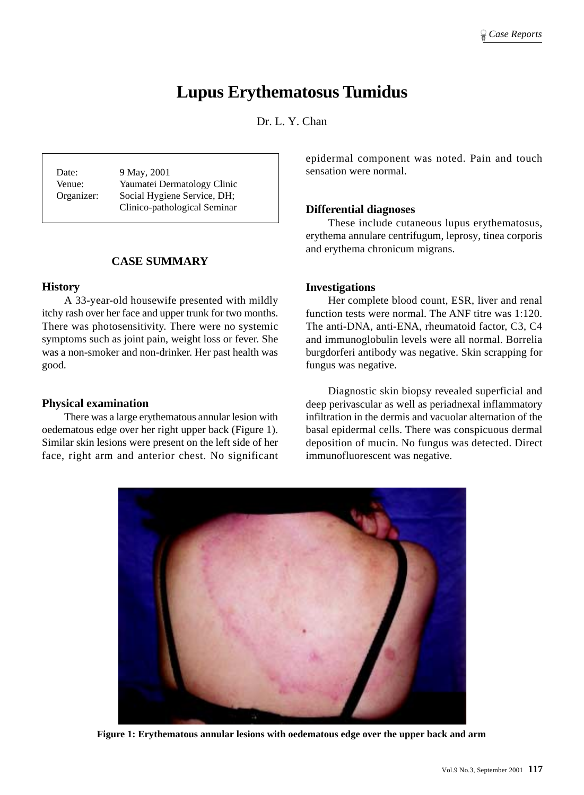# **Lupus Erythematosus Tumidus**

Dr. L. Y. Chan

Date: 9 May, 2001 Venue: Yaumatei Dermatology Clinic Organizer: Social Hygiene Service, DH; Clinico-pathological Seminar

# **CASE SUMMARY**

## **History**

A 33-year-old housewife presented with mildly itchy rash over her face and upper trunk for two months. There was photosensitivity. There were no systemic symptoms such as joint pain, weight loss or fever. She was a non-smoker and non-drinker. Her past health was good.

# **Physical examination**

There was a large erythematous annular lesion with oedematous edge over her right upper back (Figure 1). Similar skin lesions were present on the left side of her face, right arm and anterior chest. No significant epidermal component was noted. Pain and touch sensation were normal.

## **Differential diagnoses**

These include cutaneous lupus erythematosus, erythema annulare centrifugum, leprosy, tinea corporis and erythema chronicum migrans.

## **Investigations**

Her complete blood count, ESR, liver and renal function tests were normal. The ANF titre was 1:120. The anti-DNA, anti-ENA, rheumatoid factor, C3, C4 and immunoglobulin levels were all normal. Borrelia burgdorferi antibody was negative. Skin scrapping for fungus was negative.

Diagnostic skin biopsy revealed superficial and deep perivascular as well as periadnexal inflammatory infiltration in the dermis and vacuolar alternation of the basal epidermal cells. There was conspicuous dermal deposition of mucin. No fungus was detected. Direct immunofluorescent was negative.



**Figure 1: Erythematous annular lesions with oedematous edge over the upper back and arm**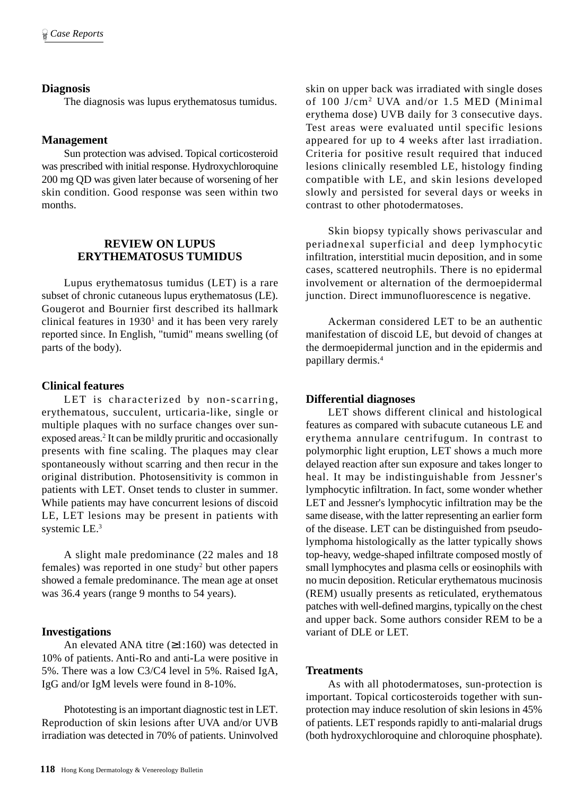## **Diagnosis**

The diagnosis was lupus erythematosus tumidus.

## **Management**

Sun protection was advised. Topical corticosteroid was prescribed with initial response. Hydroxychloroquine 200 mg QD was given later because of worsening of her skin condition. Good response was seen within two months.

# **REVIEW ON LUPUS ERYTHEMATOSUS TUMIDUS**

Lupus erythematosus tumidus (LET) is a rare subset of chronic cutaneous lupus erythematosus (LE). Gougerot and Bournier first described its hallmark clinical features in  $1930<sup>1</sup>$  and it has been very rarely reported since. In English, "tumid" means swelling (of parts of the body).

#### **Clinical features**

LET is characterized by non-scarring, erythematous, succulent, urticaria-like, single or multiple plaques with no surface changes over sunexposed areas.<sup>2</sup> It can be mildly pruritic and occasionally presents with fine scaling. The plaques may clear spontaneously without scarring and then recur in the original distribution. Photosensitivity is common in patients with LET. Onset tends to cluster in summer. While patients may have concurrent lesions of discoid LE, LET lesions may be present in patients with systemic LE.3

A slight male predominance (22 males and 18 females) was reported in one study<sup>2</sup> but other papers showed a female predominance. The mean age at onset was 36.4 years (range 9 months to 54 years).

## **Investigations**

An elevated ANA titre (≥1:160) was detected in 10% of patients. Anti-Ro and anti-La were positive in 5%. There was a low C3/C4 level in 5%. Raised IgA, IgG and/or IgM levels were found in 8-10%.

Phototesting is an important diagnostic test in LET. Reproduction of skin lesions after UVA and/or UVB irradiation was detected in 70% of patients. Uninvolved skin on upper back was irradiated with single doses of 100 J/cm2 UVA and/or 1.5 MED (Minimal erythema dose) UVB daily for 3 consecutive days. Test areas were evaluated until specific lesions appeared for up to 4 weeks after last irradiation. Criteria for positive result required that induced lesions clinically resembled LE, histology finding compatible with LE, and skin lesions developed slowly and persisted for several days or weeks in contrast to other photodermatoses.

Skin biopsy typically shows perivascular and periadnexal superficial and deep lymphocytic infiltration, interstitial mucin deposition, and in some cases, scattered neutrophils. There is no epidermal involvement or alternation of the dermoepidermal junction. Direct immunofluorescence is negative.

Ackerman considered LET to be an authentic manifestation of discoid LE, but devoid of changes at the dermoepidermal junction and in the epidermis and papillary dermis.4

#### **Differential diagnoses**

LET shows different clinical and histological features as compared with subacute cutaneous LE and erythema annulare centrifugum. In contrast to polymorphic light eruption, LET shows a much more delayed reaction after sun exposure and takes longer to heal. It may be indistinguishable from Jessner's lymphocytic infiltration. In fact, some wonder whether LET and Jessner's lymphocytic infiltration may be the same disease, with the latter representing an earlier form of the disease. LET can be distinguished from pseudolymphoma histologically as the latter typically shows top-heavy, wedge-shaped infiltrate composed mostly of small lymphocytes and plasma cells or eosinophils with no mucin deposition. Reticular erythematous mucinosis (REM) usually presents as reticulated, erythematous patches with well-defined margins, typically on the chest and upper back. Some authors consider REM to be a variant of DLE or LET.

#### **Treatments**

As with all photodermatoses, sun-protection is important. Topical corticosteroids together with sunprotection may induce resolution of skin lesions in 45% of patients. LET responds rapidly to anti-malarial drugs (both hydroxychloroquine and chloroquine phosphate).